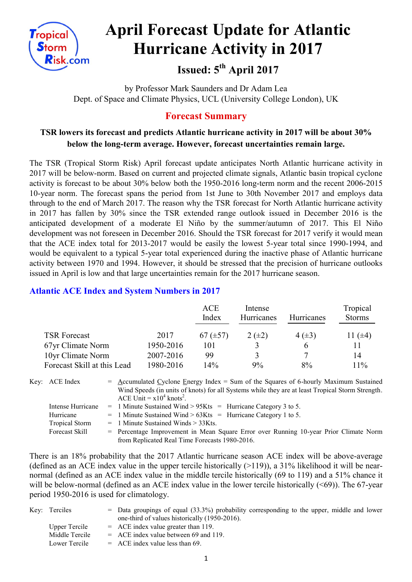

# **April Forecast Update for Atlantic Hurricane Activity in 2017**

# **Issued: 5 th April 2017**

by Professor Mark Saunders and Dr Adam Lea Dept. of Space and Climate Physics, UCL (University College London), UK

# **Forecast Summary**

# **TSR lowers its forecast and predicts Atlantic hurricane activity in 2017 will be about 30% below the long-term average. However, forecast uncertainties remain large.**

The TSR (Tropical Storm Risk) April forecast update anticipates North Atlantic hurricane activity in 2017 will be below-norm. Based on current and projected climate signals, Atlantic basin tropical cyclone activity is forecast to be about 30% below both the 1950-2016 long-term norm and the recent 2006-2015 10-year norm. The forecast spans the period from 1st June to 30th November 2017 and employs data through to the end of March 2017. The reason why the TSR forecast for North Atlantic hurricane activity in 2017 has fallen by 30% since the TSR extended range outlook issued in December 2016 is the anticipated development of a moderate El Niño by the summer/autumn of 2017. This El Niño development was not foreseen in December 2016. Should the TSR forecast for 2017 verify it would mean that the ACE index total for 2013-2017 would be easily the lowest 5-year total since 1990-1994, and would be equivalent to a typical 5-year total experienced during the inactive phase of Atlantic hurricane activity between 1970 and 1994. However, it should be stressed that the precision of hurricane outlooks issued in April is low and that large uncertainties remain for the 2017 hurricane season.

## **Atlantic ACE Index and System Numbers in 2017**

|                             |           | ACE<br>Index  | Intense<br>Hurricanes | <b>Hurricanes</b> | Tropical<br><b>Storms</b> |
|-----------------------------|-----------|---------------|-----------------------|-------------------|---------------------------|
| <b>TSR Forecast</b>         | 2017      | $67 (\pm 57)$ | $2(\pm 2)$            | $4(\pm 3)$        | 11 $(±4)$                 |
| 67yr Climate Norm           | 1950-2016 | 101           |                       | <sub>b</sub>      |                           |
| 10yr Climate Norm           | 2007-2016 | 99            |                       |                   | 14                        |
| Forecast Skill at this Lead | 1980-2016 | 14%           | 9%                    | 8%                | 11%                       |

| Key: ACE Index        | $=$ Accumulated Cyclone Energy Index $=$ Sum of the Squares of 6-hourly Maximum Sustained        |
|-----------------------|--------------------------------------------------------------------------------------------------|
|                       | Wind Speeds (in units of knots) for all Systems while they are at least Tropical Storm Strength. |
|                       | ACE Unit = $x10^4$ knots <sup>2</sup> .                                                          |
| Intense Hurricane     | $=$ 1 Minute Sustained Wind > 95Kts $=$ Hurricane Category 3 to 5.                               |
| Hurricane             | $=$ 1 Minute Sustained Wind > 63Kts = Hurricane Category 1 to 5.                                 |
| <b>Tropical Storm</b> | $=$ 1 Minute Sustained Winds $>$ 33Kts.                                                          |
| Forecast Skill        | = Percentage Improvement in Mean Square Error over Running 10-year Prior Climate Norm            |
|                       | from Replicated Real Time Forecasts 1980-2016.                                                   |

There is an 18% probability that the 2017 Atlantic hurricane season ACE index will be above-average (defined as an ACE index value in the upper tercile historically  $(>119)$ ), a 31% likelihood it will be nearnormal (defined as an ACE index value in the middle tercile historically (69 to 119) and a 51% chance it will be below-normal (defined as an ACE index value in the lower tercile historically (<69)). The 67-year period 1950-2016 is used for climatology.

| Key: Terciles        | $=$ Data groupings of equal (33.3%) probability corresponding to the upper, middle and lower |
|----------------------|----------------------------------------------------------------------------------------------|
|                      | one-third of values historically (1950-2016).                                                |
| <b>Upper Tercile</b> | $=$ ACE index value greater than 119.                                                        |
| Middle Tercile       | $=$ ACE index value between 69 and 119.                                                      |
| Lower Tercile        | $=$ ACE index value less than 69.                                                            |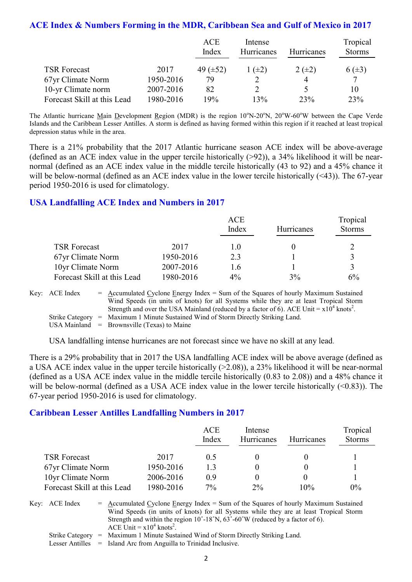### **ACE Index & Numbers Forming in the MDR, Caribbean Sea and Gulf of Mexico in 2017**

|                             |           | <b>ACE</b><br>Index | Intense<br><b>Hurricanes</b> | <b>Hurricanes</b> | Tropical<br><b>Storms</b> |
|-----------------------------|-----------|---------------------|------------------------------|-------------------|---------------------------|
|                             |           |                     |                              |                   |                           |
| <b>TSR Forecast</b>         | 2017      | 49 $(\pm 52)$       | $(\pm 2)$                    | $2 (+2)$          | $6(\pm 3)$                |
| 67yr Climate Norm           | 1950-2016 | 79                  |                              |                   | 7                         |
| 10-yr Climate norm          | 2007-2016 | 82                  |                              |                   | 10                        |
| Forecast Skill at this Lead | 1980-2016 | 19%                 | 13%                          | 23%               | 23%                       |

The Atlantic hurricane Main Development Region (MDR) is the region  $10^{\circ}$ N-20<sup>o</sup>N,  $20^{\circ}$ W-60<sup>o</sup>W between the Cape Verde Islands and the Caribbean Lesser Antilles. A storm is defined as having formed within this region if it reached at least tropical depression status while in the area.

There is a 21% probability that the 2017 Atlantic hurricane season ACE index will be above-average (defined as an ACE index value in the upper tercile historically  $(>92)$ ), a 34% likelihood it will be nearnormal (defined as an ACE index value in the middle tercile historically (43 to 92) and a 45% chance it will be below-normal (defined as an ACE index value in the lower tercile historically (<43)). The 67-year period 1950-2016 is used for climatology.

#### **USA Landfalling ACE Index and Numbers in 2017**

|                             |           | ACE   |            | Tropical      |
|-----------------------------|-----------|-------|------------|---------------|
|                             |           | Index | Hurricanes | <b>Storms</b> |
| <b>TSR Forecast</b>         | 2017      | 1.0   |            |               |
| 67yr Climate Norm           | 1950-2016 | 23    |            |               |
| 10yr Climate Norm           | 2007-2016 | 1.6   |            |               |
| Forecast Skill at this Lead | 1980-2016 | $4\%$ | 3%         | 6%            |

Key:  $\text{ACE Index} = \text{Accumulated Cvelone Energy Index} = \text{Sum of the Squares of hourly Maximum Sustainable.}$ Wind Speeds (in units of knots) for all Systems while they are at least Tropical Storm Strength and over the USA Mainland (reduced by a factor of 6). ACE Unit =  $x10^4$  knots<sup>2</sup>. Strike Category = Maximum 1 Minute Sustained Wind of Storm Directly Striking Land. USA Mainland  $=$  Brownsville (Texas) to Maine

USA landfalling intense hurricanes are not forecast since we have no skill at any lead.

There is a 29% probability that in 2017 the USA landfalling ACE index will be above average (defined as a USA ACE index value in the upper tercile historically (>2.08)), a 23% likelihood it will be near-normal (defined as a USA ACE index value in the middle tercile historically (0.83 to 2.08)) and a 48% chance it will be below-normal (defined as a USA ACE index value in the lower tercile historically (<0.83)). The 67-year period 1950-2016 is used for climatology.

#### **Caribbean Lesser Antilles Landfalling Numbers in 2017**

|                             |           | <b>ACE</b><br>Index | Intense<br>Hurricanes | <b>Hurricanes</b> | Tropical<br><b>Storms</b> |
|-----------------------------|-----------|---------------------|-----------------------|-------------------|---------------------------|
| <b>TSR Forecast</b>         | 2017      | 0.5                 |                       |                   |                           |
| 67yr Climate Norm           | 1950-2016 | 13                  |                       |                   |                           |
| 10yr Climate Norm           | 2006-2016 | 0.9                 |                       |                   |                           |
| Forecast Skill at this Lead | 1980-2016 | $7\%$               | 2%                    | 10%               | $0\%$                     |

Key:  $ACE Index = Accumulated Cyclone Energy Index = Sum of the Squares of hourly Maximum Sustainable$ Wind Speeds (in units of knots) for all Systems while they are at least Tropical Storm Strength and within the region  $10^{\circ}$ -18°N,  $63^{\circ}$ -60°W (reduced by a factor of 6). ACE Unit =  $x10^4$  knots<sup>2</sup>.

Strike Category = Maximum 1 Minute Sustained Wind of Storm Directly Striking Land.

Lesser Antilles = Island Arc from Anguilla to Trinidad Inclusive.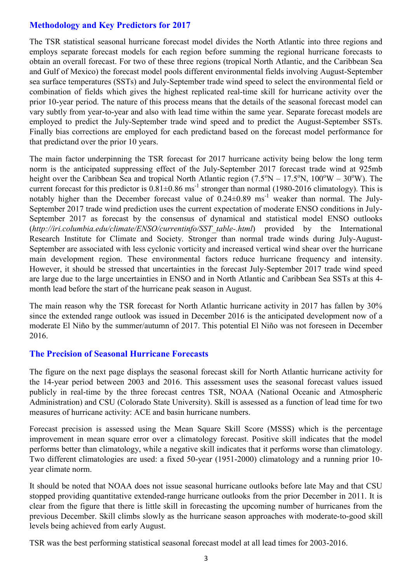# **Methodology and Key Predictors for 2017**

The TSR statistical seasonal hurricane forecast model divides the North Atlantic into three regions and employs separate forecast models for each region before summing the regional hurricane forecasts to obtain an overall forecast. For two of these three regions (tropical North Atlantic, and the Caribbean Sea and Gulf of Mexico) the forecast model pools different environmental fields involving August-September sea surface temperatures (SSTs) and July-September trade wind speed to select the environmental field or combination of fields which gives the highest replicated real-time skill for hurricane activity over the prior 10-year period. The nature of this process means that the details of the seasonal forecast model can vary subtly from year-to-year and also with lead time within the same year. Separate forecast models are employed to predict the July-September trade wind speed and to predict the August-September SSTs. Finally bias corrections are employed for each predictand based on the forecast model performance for that predictand over the prior 10 years.

The main factor underpinning the TSR forecast for 2017 hurricane activity being below the long term norm is the anticipated suppressing effect of the July-September 2017 forecast trade wind at 925mb height over the Caribbean Sea and tropical North Atlantic region  $(7.5^{\circ}N - 17.5^{\circ}N, 100^{\circ}W - 30^{\circ}W)$ . The current forecast for this predictor is  $0.81 \pm 0.86$  ms<sup>-1</sup> stronger than normal (1980-2016 climatology). This is notably higher than the December forecast value of  $0.24 \pm 0.89$  ms<sup>-1</sup> weaker than normal. The July-September 2017 trade wind prediction uses the current expectation of moderate ENSO conditions in July-September 2017 as forecast by the consensus of dynamical and statistical model ENSO outlooks (*http://iri.columbia.edu/climate/ENSO/currentinfo/SST\_table-.html*) provided by the International Research Institute for Climate and Society. Stronger than normal trade winds during July-August-September are associated with less cyclonic vorticity and increased vertical wind shear over the hurricane main development region. These environmental factors reduce hurricane frequency and intensity. However, it should be stressed that uncertainties in the forecast July-September 2017 trade wind speed are large due to the large uncertainties in ENSO and in North Atlantic and Caribbean Sea SSTs at this 4 month lead before the start of the hurricane peak season in August.

The main reason why the TSR forecast for North Atlantic hurricane activity in 2017 has fallen by 30% since the extended range outlook was issued in December 2016 is the anticipated development now of a moderate El Niño by the summer/autumn of 2017. This potential El Niño was not foreseen in December 2016.

### **The Precision of Seasonal Hurricane Forecasts**

The figure on the next page displays the seasonal forecast skill for North Atlantic hurricane activity for the 14-year period between 2003 and 2016. This assessment uses the seasonal forecast values issued publicly in real-time by the three forecast centres TSR, NOAA (National Oceanic and Atmospheric Administration) and CSU (Colorado State University). Skill is assessed as a function of lead time for two measures of hurricane activity: ACE and basin hurricane numbers.

Forecast precision is assessed using the Mean Square Skill Score (MSSS) which is the percentage improvement in mean square error over a climatology forecast. Positive skill indicates that the model performs better than climatology, while a negative skill indicates that it performs worse than climatology. Two different climatologies are used: a fixed 50-year (1951-2000) climatology and a running prior 10 year climate norm.

It should be noted that NOAA does not issue seasonal hurricane outlooks before late May and that CSU stopped providing quantitative extended-range hurricane outlooks from the prior December in 2011. It is clear from the figure that there is little skill in forecasting the upcoming number of hurricanes from the previous December. Skill climbs slowly as the hurricane season approaches with moderate-to-good skill levels being achieved from early August.

TSR was the best performing statistical seasonal forecast model at all lead times for 2003-2016.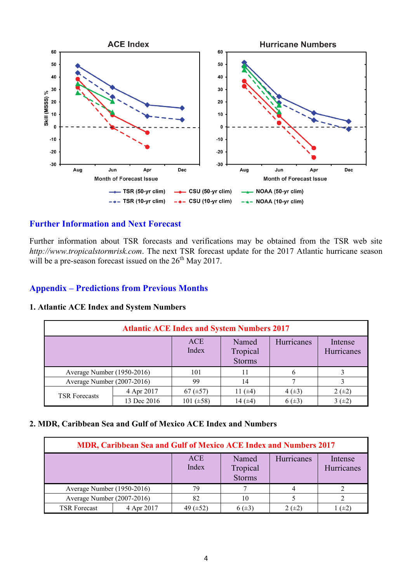

### **Further Information and Next Forecast**

Further information about TSR forecasts and verifications may be obtained from the TSR web site *http://www.tropicalstormrisk.com*. The next TSR forecast update for the 2017 Atlantic hurricane season will be a pre-season forecast issued on the  $26<sup>th</sup>$  May 2017.

#### **Appendix – Predictions from Previous Months**

|  |  |  | <b>1. Atlantic ACE Index and System Numbers</b> |  |
|--|--|--|-------------------------------------------------|--|
|  |  |  |                                                 |  |

| <b>Atlantic ACE Index and System Numbers 2017</b> |             |                     |                                    |            |                       |  |  |
|---------------------------------------------------|-------------|---------------------|------------------------------------|------------|-----------------------|--|--|
|                                                   |             | <b>ACE</b><br>Index | Named<br>Tropical<br><b>Storms</b> | Hurricanes | Intense<br>Hurricanes |  |  |
| Average Number (1950-2016)                        |             | 101                 | 11                                 | b          |                       |  |  |
| Average Number (2007-2016)                        |             | 99                  | 14                                 |            |                       |  |  |
| <b>TSR Forecasts</b>                              | 4 Apr 2017  | 67 $(\pm 57)$       | 1 $(\pm 4)$                        | $4(\pm 3)$ | $2 (+2)$              |  |  |
|                                                   | 13 Dec 2016 | 101 $(\pm 58)$      | l 4 (±4)                           | $6(\pm 3)$ | 3(±2)                 |  |  |

#### **2. MDR, Caribbean Sea and Gulf of Mexico ACE Index and Numbers**

| <b>MDR, Caribbean Sea and Gulf of Mexico ACE Index and Numbers 2017</b> |            |                     |                                    |                   |                       |  |  |
|-------------------------------------------------------------------------|------------|---------------------|------------------------------------|-------------------|-----------------------|--|--|
|                                                                         |            | <b>ACE</b><br>Index | Named<br>Tropical<br><b>Storms</b> | <b>Hurricanes</b> | Intense<br>Hurricanes |  |  |
| Average Number (1950-2016)                                              |            | 79                  |                                    |                   |                       |  |  |
| Average Number (2007-2016)                                              |            | 82                  | 10                                 |                   |                       |  |  |
| <b>TSR Forecast</b>                                                     | 4 Apr 2017 | 49 $(\pm 52)$       | 6 $(\pm 3)$                        | $2 (+2)$          | $(\pm 2)$             |  |  |